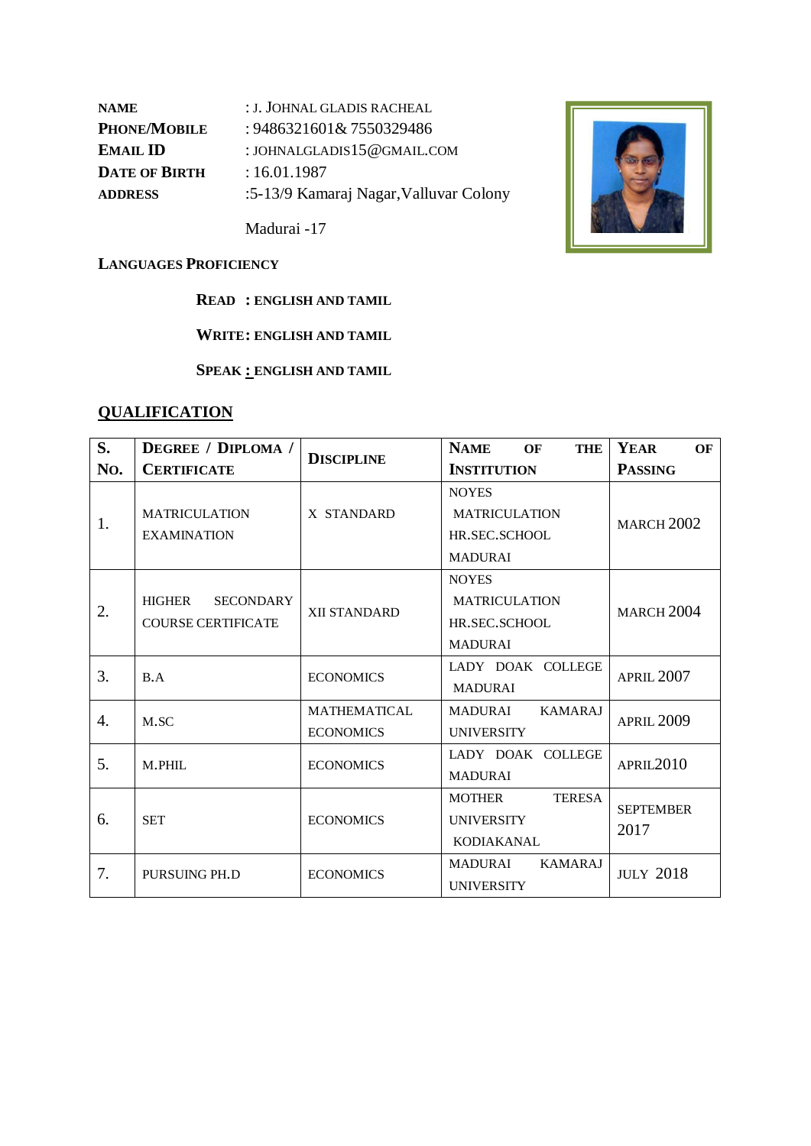| : J. JOHNAL GLADIS RACHEAL             |
|----------------------------------------|
| : 9486321601& 7550329486               |
| : JOHNALGLADIS $15@$ GMAIL.COM         |
| :16.01.1987                            |
| :5-13/9 Kamaraj Nagar, Valluvar Colony |
|                                        |

Madurai -17



#### **LANGUAGES PROFICIENCY**

**READ : ENGLISH AND TAMIL**

**WRITE: ENGLISH AND TAMIL**

**SPEAK : ENGLISH AND TAMIL**

# **QUALIFICATION**

| S.  | <b>DEGREE</b> / <b>DIPLOMA</b> / |                     | <b>NAME</b><br><b>THE</b><br>OF | YEAR<br>OF            |  |
|-----|----------------------------------|---------------------|---------------------------------|-----------------------|--|
| No. | <b>CERTIFICATE</b>               | <b>DISCIPLINE</b>   | <b>INSTITUTION</b>              | <b>PASSING</b>        |  |
|     |                                  |                     | <b>NOYES</b>                    |                       |  |
| 1.  | <b>MATRICULATION</b>             | X STANDARD          | <b>MATRICULATION</b>            | <b>MARCH 2002</b>     |  |
|     | <b>EXAMINATION</b>               |                     | HR.SEC.SCHOOL                   |                       |  |
|     |                                  |                     | <b>MADURAI</b>                  |                       |  |
|     |                                  |                     | <b>NOYES</b>                    |                       |  |
| 2.  | HIGHER<br><b>SECONDARY</b>       | XII STANDARD        | <b>MATRICULATION</b>            | <b>MARCH 2004</b>     |  |
|     | <b>COURSE CERTIFICATE</b>        |                     | HR.SEC.SCHOOL                   |                       |  |
|     |                                  |                     | <b>MADURAI</b>                  |                       |  |
| 3.  | B.A                              | <b>ECONOMICS</b>    | LADY DOAK COLLEGE               | <b>APRIL 2007</b>     |  |
|     |                                  |                     | <b>MADURAI</b>                  |                       |  |
| 4.  | M.SC                             | <b>MATHEMATICAL</b> | <b>KAMARAJ</b><br>MADURAI       | <b>APRIL 2009</b>     |  |
|     |                                  | <b>ECONOMICS</b>    | <b>UNIVERSITY</b>               |                       |  |
| 5.  | M.PHIL                           | <b>ECONOMICS</b>    | LADY DOAK COLLEGE               | APRIL <sub>2010</sub> |  |
|     |                                  |                     | <b>MADURAI</b>                  |                       |  |
|     |                                  |                     | <b>TERESA</b><br><b>MOTHER</b>  | <b>SEPTEMBER</b>      |  |
| 6.  | <b>SET</b>                       | <b>ECONOMICS</b>    | <b>UNIVERSITY</b>               | 2017                  |  |
|     |                                  |                     | <b>KODIAKANAL</b>               |                       |  |
| 7.  | PURSUING PH.D                    | <b>ECONOMICS</b>    | <b>KAMARAJ</b><br>MADURAI       | <b>JULY 2018</b>      |  |
|     |                                  |                     | <b>UNIVERSITY</b>               |                       |  |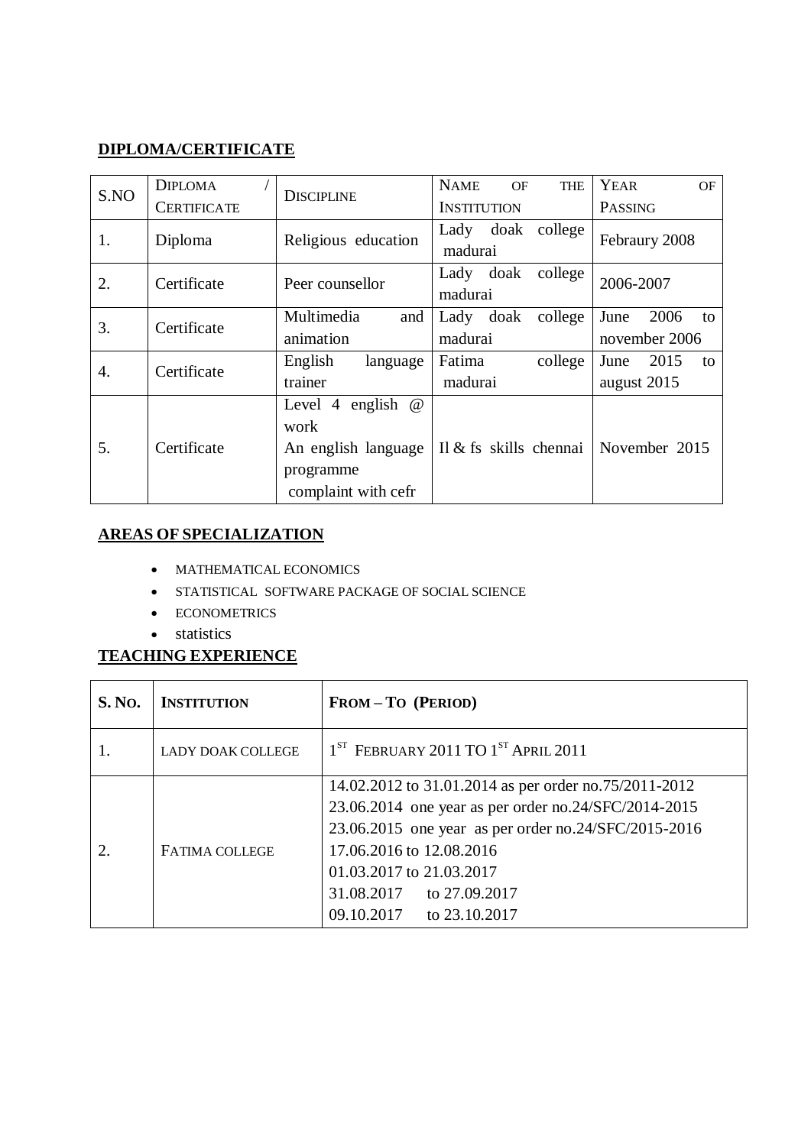#### **DIPLOMA/CERTIFICATE**

| S.NO | <b>DIPLOMA</b>     | <b>DISCIPLINE</b>                                                                              | <b>NAME</b><br><b>THE</b><br>OF | <b>YEAR</b><br><b>OF</b>            |
|------|--------------------|------------------------------------------------------------------------------------------------|---------------------------------|-------------------------------------|
|      | <b>CERTIFICATE</b> |                                                                                                | <b>INSTITUTION</b>              | PASSING                             |
| 1.   | Diploma            | Religious education                                                                            | Lady doak college<br>madurai    | Febraury 2008                       |
| 2.   | Certificate        | college<br>Lady doak<br>Peer counsellor<br>madurai                                             |                                 | 2006-2007                           |
| 3.   | Certificate        | Multimedia<br>and<br>animation                                                                 | Lady doak<br>college<br>madurai | 2006<br>June<br>to<br>november 2006 |
| 4.   | Certificate        | English<br>language<br>trainer                                                                 | Fatima<br>college<br>madurai    | 2015<br>June<br>to<br>august 2015   |
| 5.   | Certificate        | Level 4 english<br>$\omega$<br>work<br>An english language<br>programme<br>complaint with cefr | Il & fs skills chennai          | November 2015                       |

#### **AREAS OF SPECIALIZATION**

- MATHEMATICAL ECONOMICS
- STATISTICAL SOFTWARE PACKAGE OF SOCIAL SCIENCE
- ECONOMETRICS
- statistics

## **TEACHING EXPERIENCE**

| <b>S. No.</b> | <b>INSTITUTION</b>       | <b>FROM-TO (PERIOD)</b>                                                                                                                                                                                                                                                               |  |
|---------------|--------------------------|---------------------------------------------------------------------------------------------------------------------------------------------------------------------------------------------------------------------------------------------------------------------------------------|--|
|               | <b>LADY DOAK COLLEGE</b> | $1ST$ FEBRUARY 2011 TO $1ST$ APRIL 2011                                                                                                                                                                                                                                               |  |
|               | <b>FATIMA COLLEGE</b>    | 14.02.2012 to 31.01.2014 as per order no.75/2011-2012<br>23.06.2014 one year as per order no.24/SFC/2014-2015<br>23.06.2015 one year as per order no.24/SFC/2015-2016<br>17.06.2016 to 12.08.2016<br>01.03.2017 to 21.03.2017<br>31.08.2017 to 27.09.2017<br>09.10.2017 to 23.10.2017 |  |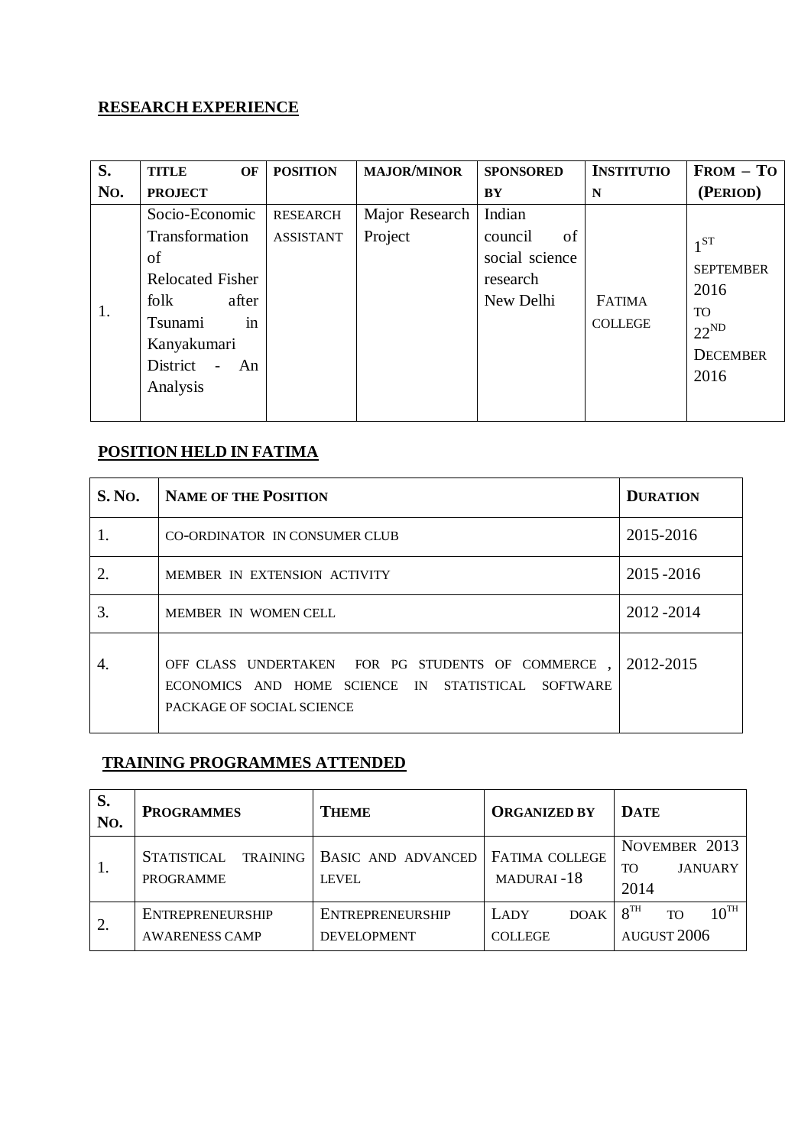# **RESEARCH EXPERIENCE**

| S.  | <b>TITLE</b><br>OF                                                                                                                                   | <b>POSITION</b>              | <b>MAJOR/MINOR</b>        | <b>SPONSORED</b>                                                   | <b>INSTITUTIO</b>               | $FROM - TO$                                                                        |
|-----|------------------------------------------------------------------------------------------------------------------------------------------------------|------------------------------|---------------------------|--------------------------------------------------------------------|---------------------------------|------------------------------------------------------------------------------------|
| No. | <b>PROJECT</b>                                                                                                                                       |                              |                           | BY                                                                 | N                               | (PERIOD)                                                                           |
| 1.  | Socio-Economic<br>Transformation<br>of<br><b>Relocated Fisher</b><br>after<br>folk<br>Tsunami<br>in<br>Kanyakumari<br>District<br>$-$ An<br>Analysis | RESEARCH<br><b>ASSISTANT</b> | Major Research<br>Project | Indian<br>of<br>council<br>social science<br>research<br>New Delhi | <b>FATIMA</b><br><b>COLLEGE</b> | $1^{ST}$<br><b>SEPTEMBER</b><br>2016<br>TO<br>$22^{ND}$<br><b>DECEMBER</b><br>2016 |

## **POSITION HELD IN FATIMA**

| <b>S. No.</b> | <b>NAME OF THE POSITION</b>                                                                                                                   | <b>DURATION</b> |
|---------------|-----------------------------------------------------------------------------------------------------------------------------------------------|-----------------|
| 1.            | CO-ORDINATOR IN CONSUMER CLUB                                                                                                                 | 2015-2016       |
| 2.            | MEMBER IN EXTENSION ACTIVITY                                                                                                                  | 2015-2016       |
| 3.            | MEMBER IN WOMEN CELL                                                                                                                          | 2012-2014       |
| 4.            | OFF CLASS UNDERTAKEN FOR PG STUDENTS OF COMMERCE<br>ECONOMICS AND HOME SCIENCE IN STATISTICAL<br><b>SOFTWARE</b><br>PACKAGE OF SOCIAL SCIENCE | 2012-2015       |

#### **TRAINING PROGRAMMES ATTENDED**

| S.<br>No. | <b>PROGRAMMES</b>                                  | <b>THEME</b>                                  | <b>ORGANIZED BY</b>                   | <b>DATE</b>                                                  |
|-----------|----------------------------------------------------|-----------------------------------------------|---------------------------------------|--------------------------------------------------------------|
| 1.        | TRAINING<br><b>STATISTICAL</b><br><b>PROGRAMME</b> | <b>BASIC AND ADVANCED</b><br><b>LEVEL</b>     | <b>FATIMA COLLEGE</b><br>MADURAI-18   | NOVEMBER 2013<br><b>JANUARY</b><br>TO<br>2014                |
| 2.        | ENTREPRENEURSHIP<br><b>AWARENESS CAMP</b>          | <b>ENTREPRENEURSHIP</b><br><b>DEVELOPMENT</b> | LADY<br><b>DOAK</b><br><b>COLLEGE</b> | $10^{TH}$<br>8 <sup>TH</sup><br>TO<br>AUGUST <sub>2006</sub> |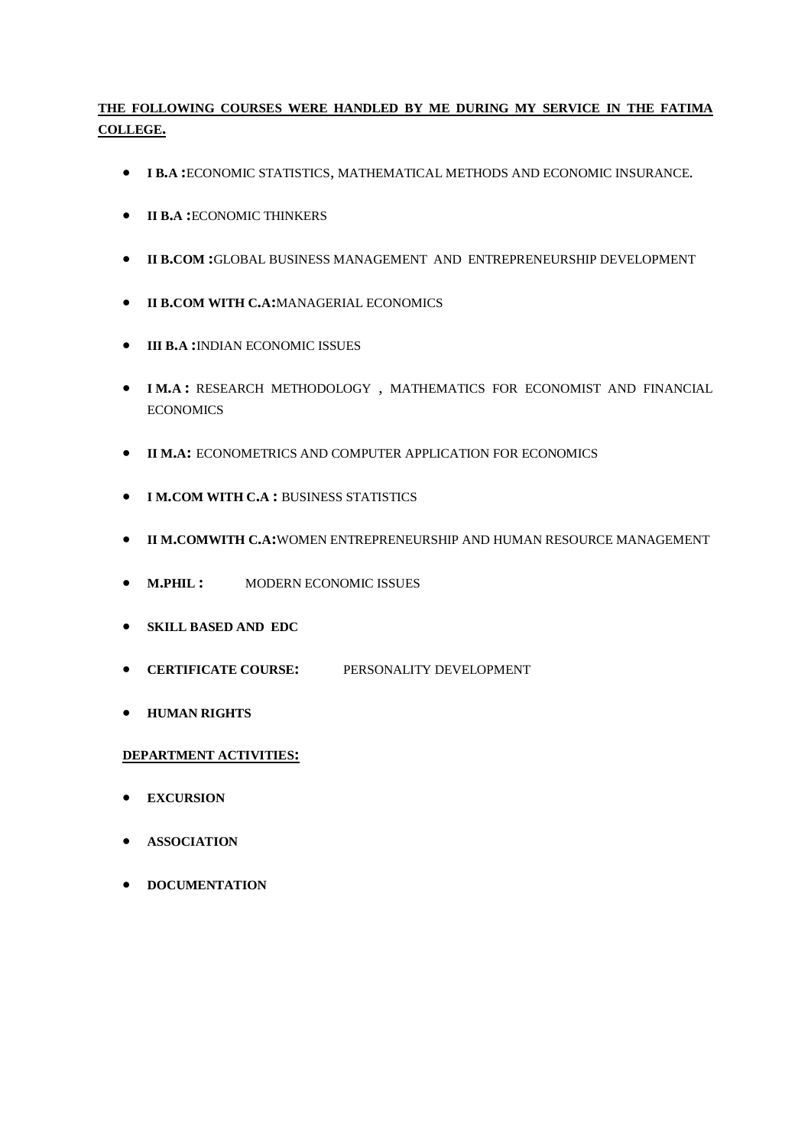#### **THE FOLLOWING COURSES WERE HANDLED BY ME DURING MY SERVICE IN THE FATIMA COLLEGE.**

- **I B.A :**ECONOMIC STATISTICS, MATHEMATICAL METHODS AND ECONOMIC INSURANCE.
- **II B.A :**ECONOMIC THINKERS
- **II B.COM :**GLOBAL BUSINESS MANAGEMENT AND ENTREPRENEURSHIP DEVELOPMENT
- **II B.COM WITH C.A:**MANAGERIAL ECONOMICS
- **III B.A :**INDIAN ECONOMIC ISSUES
- **I M.A :** RESEARCH METHODOLOGY , MATHEMATICS FOR ECONOMIST AND FINANCIAL **ECONOMICS**
- **II M.A:** ECONOMETRICS AND COMPUTER APPLICATION FOR ECONOMICS
- **I M.COM WITH C.A :** BUSINESS STATISTICS
- **II M.COMWITH C.A:**WOMEN ENTREPRENEURSHIP AND HUMAN RESOURCE MANAGEMENT
- **• M.PHIL:** MODERN ECONOMIC ISSUES
- **SKILL BASED AND EDC**
- **CERTIFICATE COURSE:** PERSONALITY DEVELOPMENT
- **HUMAN RIGHTS**

#### **DEPARTMENT ACTIVITIES:**

- **EXCURSION**
- **ASSOCIATION**
- **•** DOCUMENTATION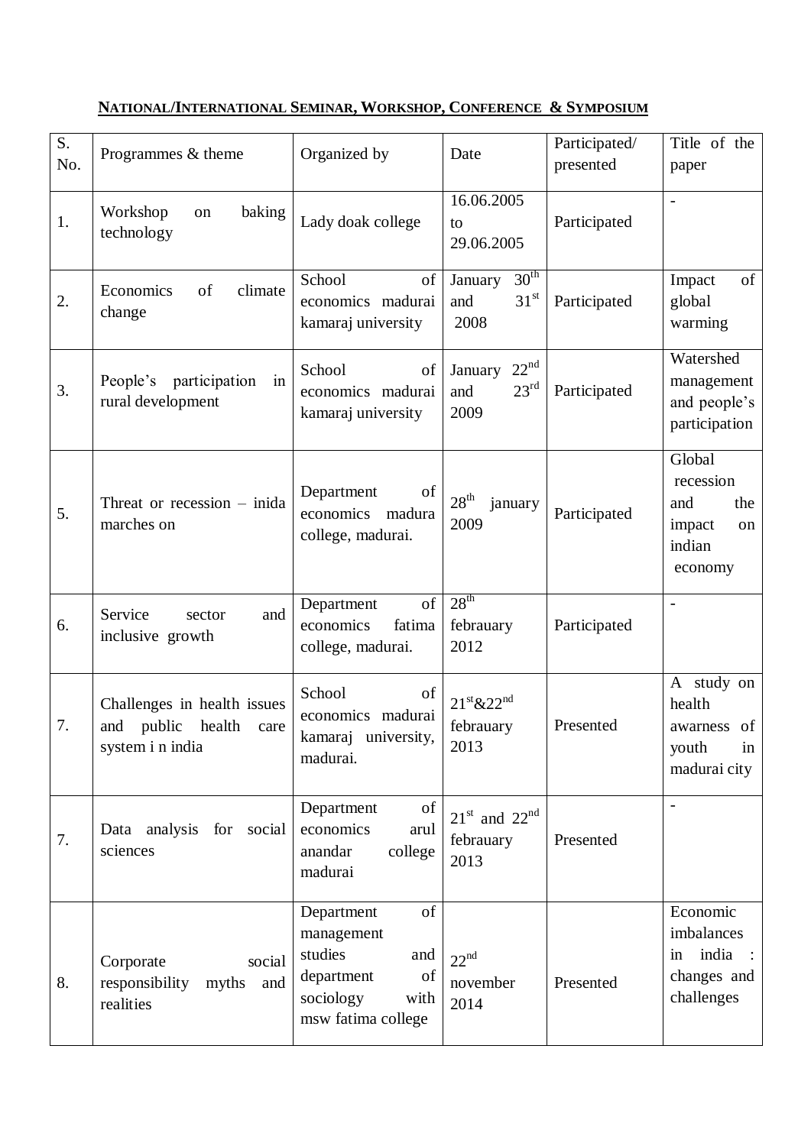#### $\begin{array}{c|c}\nS. \\
\hline\nNo.\n\end{array}$  Programmes & theme  $\begin{array}{c|c}\n\end{array}$  Organized by  $\begin{array}{c}\n\end{array}$  Date Participated/ presented paper 1. Workshop on baking technology Lady doak college 16.06.2005 to 29.06.2005 Participated -  $\overline{2}$ . Economics of climate change School of economics madurai kamaraj university January 30<sup>th</sup> and  $31<sup>st</sup>$ 2008 Participated Impact of global warming 3. People's participation in rural development School of economics madurai kamaraj university January 22nd and  $23<sup>rd</sup>$ 2009 Participated Watershed management and people's participation  $5.$  Threat or recession – inida marches on Department of economics madura college, madurai.  $28<sup>th</sup>$  january  $\begin{array}{c|c} 28 & \text{January} \\ 2009 & \text{Participated} \end{array}$ Global recession and the impact on indian economy 6. Service sector and inclusive growth Department of economics fatima college, madurai.  $28<sup>th</sup>$ febrauary 2012 Participated - 7. Challenges in health issues and public health care system i n india School of economics madurai kamaraj university, madurai.  $21^{\text{st}}$ &22<sup>nd</sup> febrauary 2013 Presented A study on health awarness of youth in madurai city 7. Data analysis for social sciences Department of economics arul anandar college madurai  $21<sup>st</sup>$  and  $22<sup>nd</sup>$ febrauary 2013 Presented - 8. Corporate social responsibility myths and realities Department of management studies and department of sociology with  $22<sup>nd</sup>$ november 2014 Presented Economic imbalances in india changes and challenges

msw fatima college

#### **NATIONAL/INTERNATIONAL SEMINAR, WORKSHOP, CONFERENCE & SYMPOSIUM**

Title of the

S.